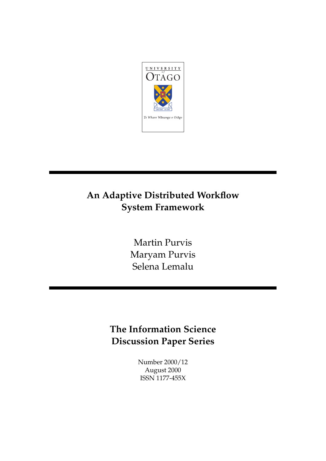

# **An Adaptive Distributed Workflow System Framework**

Martin Purvis Maryam Purvis Selena Lemalu

# **The Information Science Discussion Paper Series**

Number 2000/12 August 2000 ISSN 1177-455X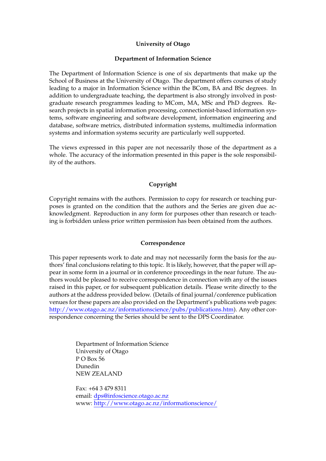# **University of Otago**

## **Department of Information Science**

The Department of Information Science is one of six departments that make up the School of Business at the University of Otago. The department offers courses of study leading to a major in Information Science within the BCom, BA and BSc degrees. In addition to undergraduate teaching, the department is also strongly involved in postgraduate research programmes leading to MCom, MA, MSc and PhD degrees. Research projects in spatial information processing, connectionist-based information systems, software engineering and software development, information engineering and database, software metrics, distributed information systems, multimedia information systems and information systems security are particularly well supported.

The views expressed in this paper are not necessarily those of the department as a whole. The accuracy of the information presented in this paper is the sole responsibility of the authors.

# **Copyright**

Copyright remains with the authors. Permission to copy for research or teaching purposes is granted on the condition that the authors and the Series are given due acknowledgment. Reproduction in any form for purposes other than research or teaching is forbidden unless prior written permission has been obtained from the authors.

## **Correspondence**

This paper represents work to date and may not necessarily form the basis for the authors' final conclusions relating to this topic. It is likely, however, that the paper will appear in some form in a journal or in conference proceedings in the near future. The authors would be pleased to receive correspondence in connection with any of the issues raised in this paper, or for subsequent publication details. Please write directly to the authors at the address provided below. (Details of final journal/conference publication venues for these papers are also provided on the Department's publications web pages: http://www.otago.ac.nz/informationscience/pubs/publications.htm). Any other correspondence concerning the Series should be sent to the DPS Coordinator.

> Department of Information Science University of Otago P O Box 56 Dunedin NEW ZEALAND

Fax: +64 3 479 8311 email: dps@infoscience.otago.ac.nz www: http://www.otago.ac.nz/informationscience/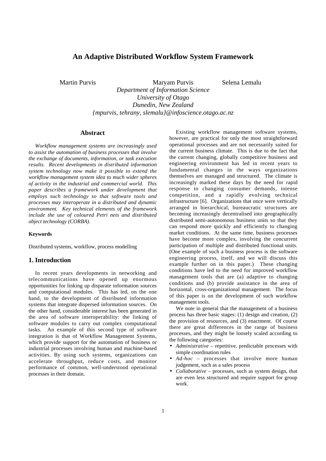# **An Adaptive Distributed Workflow System Framework**

Martin Purvis Maryam Purvis Selena Lemalu

*Department of Information Science University of Otago Dunedin, New Zealand {mpurvis, tehrany, slemalu}@infoscience.otago.ac.nz*

## **Abstract**

*Workflow management systems are increasingly used to assist the automation of business processes that involve the exchange of documents, information, or task execution results. Recent developments in distributed information system technology now make it possible to extend the workflow management system idea to much wider spheres of activity in the industrial and commercial world. This paper describes a framework under development that employs such technology so that software tools and processes may interoperate in a distributed and dynamic environment. Key technical elements of the framework include the use of coloured Petri nets and distributed object technology (CORBA).*

#### **Keywords**

Distributed systems, workflow, process modelling

## **1. Introduction**

In recent years developments in networking and telecommunications have opened up enormous opportunities for linking up disparate information sources and computational modules. This has led, on the one hand, to the development of distributed information systems that integrate dispersed information sources. On the other hand, considerable interest has been generated in the area of software interoperability: the linking of software modules to carry out complex computational tasks. An example of this second type of software integration is that of Workflow Management Systems, which provide support for the automation of business or industrial processes involving human and machine-based activities. By using such systems, organizations can accelerate throughput, reduce costs, and monitor performance of common, well-understood operational processes in their domain.

Existing workflow management software systems, however, are practical for only the most straightforward operational processes and are not necessarily suited for the current business climate. This is due to the fact that the current changing, globally competitive business and engineering environment has led in recent years to fundamental changes in the ways organizations themselves are managed and structured. The climate is increasingly marked these days by the need for rapid response to changing consumer demands, intense competition, and a rapidly evolving technical infrastructure [6]. Organizations that once were vertically arranged in hierarchical, bureaucratic structures are becoming increasingly decentralised into geographically distributed semi-autonomous business units so that they can respond more quickly and efficiently to changing market conditions. At the same time, business processes have become more complex, involving the concurrent participation of multiple and distributed functional units. (One example of such a business process is the software engineering process, itself, and we will discuss this example further on in this paper.) These changing conditions have led to the need for improved workflow management tools that are (a) adaptive to changing conditions and (b) provide assistance in the area of horizontal, cross-organizational management. The focus of this paper is on the development of such workflow management tools.

We note in general that the management of a business process has three basic stages: (1) design and creation, (2) the provision of resources, and (3) enactment. Of course there are great differences in the range of business processes, and they might be loosely scaled according to the following categories:

- *Administrative* repetitive, predictable processes with simple coordination rules
- *Ad-hoc*  processes that involve more human judgement, such as a sales process
- *Collaborative*  processes, such as system design, that are even less structured and require support for group work.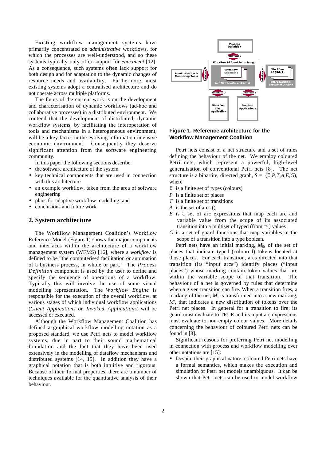Existing workflow management systems have primarily concentrated on *administrative* workflows, for which the processes are well-understood, and so these systems typically only offer support for *enactment* [12]. As a consequence, such systems often lack support for both design and for adaptation to the dynamic changes of resource needs and availability. Furthermore, most existing systems adopt a centralised architecture and do not operate across multiple platforms.

The focus of the current work is on the development and characterisation of dynamic workflows (ad-hoc and collaborative processes) in a distributed environment. We contend that the development of distributed, dynamic workflow systems, by facilitating the interoperation of tools and mechanisms in a heterogeneous environment, will be a key factor in the evolving information-intensive economic environment. Consequently they deserve significant attention from the software engineering community.

In this paper the following sections describe:

- the software architecture of the system
- key technical components that are used in connection with this architecture
- an example workflow, taken from the area of software engineering
- plans for adaptive workflow modelling, and
- conclusions and future work.

#### **2. System architecture**

The Workflow Management Coalition's Workflow Reference Model (Figure 1) shows the major components and interfaces within the architecture of a workflow management system (WFMS) [16], where a *workflow* is defined to be "the computerised facilitation or automation of a business process, in whole or part." The *Process Definition* component is used by the user to define and specify the sequence of operations of a workflow. Typically this will involve the use of some visual modelling representation. The *Workflow Engine* is responsible for the execution of the overall workflow, at various stages of which individual workflow applications (*Client Applications* or *Invoked Applications*) will be accessed or executed.

Although the Workflow Management Coalition has defined a graphical workflow modelling notation as a proposed standard, we use Petri nets to model workflow systems, due in part to their sound mathematical foundation and the fact that they have been used extensively in the modelling of dataflow mechanisms and distributed systems [14, 15]. In addition they have a graphical notation that is both intuitive and rigorous. Because of their formal properties, there are a number of techniques available for the quantitative analysis of their behaviour.



## **Figure 1. Reference architecture for the Workflow Management Coalition**

Petri nets consist of a net structure and a set of rules defining the behaviour of the net. We employ coloured Petri nets, which represent a powerful, high-level generalisation of conventional Petri nets [8]. The net structure is a bipartite, directed graph, *S =* (Ε,*P,T,A,E,G*), where

- Ε is a finite set of types (colours)
- *P* is a finite set of places
- *T* is a finite set of transitions
- *A* is the set of arcs ()
- *E* is a set of arc expressions that map each arc and variable value from the scope of its associated transition into a multiset of typed (from  $\infty$ ) values
- *G* is a set of guard functions that map variables in the scope of a transition into a type boolean.

Petri nets have an initial marking,  $M_0$ , of the set of places that indicate typed (coloured) tokens located at those places. For each transition, arcs directed into that transition (its "input arcs") identify places ("input places") whose marking contain token values that are within the variable scope of that transition. The behaviour of a net is governed by rules that determine when a given transition can fire. When a transition fires, a marking of the net, *M*, is transformed into a new marking, *M'*, that indicates a new distribution of tokens over the Petri net places. In general for a transition to fire, its guard must evaluate to TRUE and its input arc expressions must evaluate to non-empty colour values. More details concerning the behaviour of coloured Petri nets can be found in [8].

Significant reasons for preferring Petri net modelling in connection with process and workflow modelling over other notations are [15]:

• Despite their graphical nature, coloured Petri nets have a formal semantics, which makes the execution and simulation of Petri net models unambiguous. It can be shown that Petri nets can be used to model workflow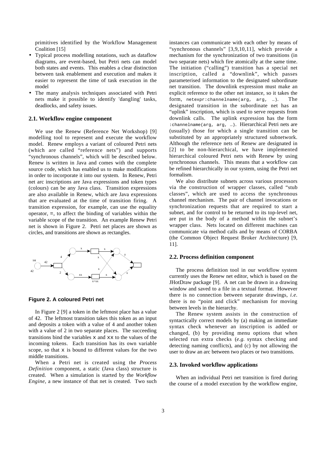primitives identified by the Workflow Management Coalition [15]

- Typical process modelling notations, such as dataflow diagrams, are event-based, but Petri nets can model both states and events. This enables a clear distinction between task enablement and execution and makes it easier to represent the time of task execution in the model
- The many analysis techniques associated with Petri nets make it possible to identify 'dangling' tasks, deadlocks, and safety issues.

#### **2.1. Workflow engine component**

We use the Renew (Reference Net Workshop) [9] modelling tool to represent and execute the workflow model. Renew employs a variant of coloured Petri nets (which are called "reference nets") and supports "synchronous channels", which will be described below. Renew is written in Java and comes with the complete source code, which has enabled us to make modifications in order to incorporate it into our system. In Renew, Petri net arc inscriptions are Java expressions and token types (colours) can be any Java class. Transition expressions are also available in Renew, which are Java expressions that are evaluated at the time of transition firing. A transition expression, for example, can use the equality operator, =, to affect the binding of variables within the variable scope of the transition. An example Renew Petri net is shown in Figure 2. Petri net places are shown as circles, and transitions are shown as rectangles.



#### **Figure 2. A coloured Petri net**

In Figure 2 [9] a token in the leftmost place has a value of 42. The leftmost transition takes this token as an input and deposits a token with a value of 4 and another token with a value of 2 in two separate places. The succeeding transitions bind the variables x and xx to the values of the incoming tokens. Each transition has its own variable scope, so that x is bound to different values for the two middle transitions.

When a Petri net is created using the *Process Definition* component, a static (Java class) structure is created. When a simulation is started by the *Workflow Engine*, a new instance of that net is created. Two such

instances can communicate with each other by means of "synchronous channels" [3,9,10,11], which provide a mechanism for the synchronization of two transitions (in two separate nets) which fire atomically at the same time. The initiation ("calling") transition has a special net inscription, called a "downlink", which passes parameterised information to the designated subordinate net transition. The downlink expression must make an explicit reference to the other net instance, so it takes the form, netexpr:channelname(arg, arg, …). The designated transition in the subordinate net has an "uplink" inscription, which is used to serve requests from downlink calls. The uplink expression has the form :channelname(arg, arg, …). Hierarchical Petri nets are (usually) those for which a single transition can be substituted by an appropriately structured subnetwork. Although the reference nets of Renew are designated in [2] to be non-hierarchical, we have implemented hierarchical coloured Petri nets with Renew by using synchronous channels. This means that a workflow can be refined hierarchically in our system, using the Petri net formalism.

We also distribute subnets across various processors via the construction of wrapper classes, called "stub classes", which are used to access the synchronous channel mechanism. The pair of channel invocations or synchronization requests that are required to start a subnet, and for control to be returned to its top-level net, are put in the body of a method within the subnet's wrapper class. Nets located on different machines can communicate via method calls and by means of CORBA (the Common Object Request Broker Architecture) [9, 11].

#### **2.2. Process definition component**

The process definition tool in our workflow system currently uses the Renew net editor, which is based on the JHotDraw package [9]. A net can be drawn in a drawing window and saved to a file in a textual format. However there is no connection between separate drawings, *i.e.* there is no "point and click" mechanism for moving between levels in the hierarchy.

The Renew system assists in the construction of syntactically correct models by (a) making an immediate syntax check whenever an inscription is added or changed, (b) by providing menu options that when selected run extra checks (*e.g.* syntax checking and detecting naming conflicts), and (c) by not allowing the user to draw an arc between two places or two transitions.

## **2.3. Invoked workflow application***s*

When an individual Petri net transition is fired during the course of a model execution by the workflow engine,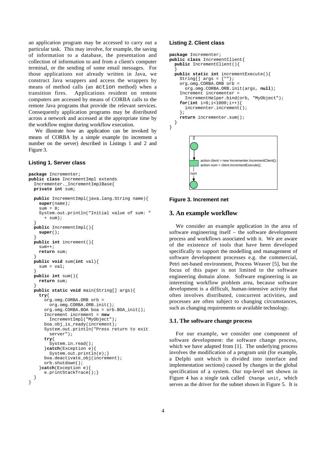an application program may be accessed to carry out a particular task. This may involve, for example, the saving of information to a database, the presentation and collection of information to and from a client's computer terminal, or the sending of some email messages. For those applications not already written in Java, we construct Java wrappers and access the wrappers by means of method calls (an action method) when a transition fires. Applications resident on remote computers are accessed by means of CORBA calls to the remote Java programs that provide the relevant services. Consequently application programs may be distributed across a network and accessed at the appropriate time by the workflow engine during workflow execution.

We illustrate how an application can be invoked by means of CORBA by a simple example (to increment a number on the server) described in Listings 1 and 2 and Figure 3.

#### **Listing 1. Server class**

```
package Incrementer;
public class IncrementImpl extends
   Incrementer._IncrementImplBase{
   private int sum;
   public IncrementImpl(java.lang.String name){
     super(name);
    sum = 0;
     System.out.println("Initial value of sum: "
      + sum);
 }
   public IncrementImpl(){
     super();
 }
   public int increment(){
    sum++; return sum;
 }
   public void sum(int val){
    sum = val;
 }
   public int sum(){
     return sum;
 }
   public static void main(String[] args){
     try{
       org.omg.CORBA.ORB orb =
         org.omg.CORBA.ORB.init();
       org.omg.CORBA.BOA boa = orb.BOA_init();
       Increment increment = new
         IncrementImpl("MyObject");
       boa.obj_is_ready(increment);
       System.out.println("Press return to exit
         server");
       try{
        System.in.read();
       }catch(Exception e){
        System.out.println(e);}
       boa.deactivate_obj(increment);
       orb.shutdown();
     }catch(Exception e){
      e.printStackTrace(); }
   }
}
```
#### **Listing 2. Client class**

}

```
package Incrementer;
public class IncrementClient{
   public IncrementClient(){
 }
   public static int incrementExecute(){
    String[] \arg s = \{ ""\};
     org.omg.CORBA.ORB orb =
       org.omg.CORBA.ORB.init(args, null);
     Increment incrementer =
       IncrementHelper.bind(orb, "MyObject");
    for(int i=0;i<1000;i++){
       incrementer.increment();
     };
     return incrementer.sum();
   }
          \overline{\phantom{a}}
```


#### **Figure 3. Increment net**

## **3. An example workflow**

We consider an example application in the area of software engineering itself – the software development process and workflows associated with it. We are aware of the existence of tools that have been developed specifically to support the modelling and management of software development processes e.g. the commercial, Petri net-based environment, Process Weaver [5], but the focus of this paper is not limited to the software engineering domain alone. Software engineering is an interesting workflow problem area, because software development is a difficult, human-intensive activity that often involves distributed, concurrent activities, and processes are often subject to changing circumstances, such as changing requirements or available technology.

#### **3.1. The software change process**

For our example, we consider one component of software development: the software change process, which we have adapted from [1]. The underlying process involves the modification of a program unit (for example, a Delphi unit which is divided into interface and implementation sections) caused by changes in the global specification of a system. Our top-level net shown in Figure 4 has a single task called Change unit, which serves as the driver for the subnet shown in Figure 5. It is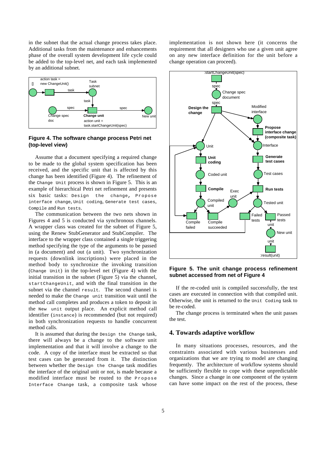in the subnet that the actual change process takes place. Additional tasks from the maintenance and enhancements phase of the overall system development life cycle could be added to the top-level net, and each task implemented by an additional subnet.



### **Figure 4. The software change process Petri net (top-level view)**

Assume that a document specifying a required change to be made to the global system specification has been received, and the specific unit that is affected by this change has been identified (Figure 4). The refinement of the Change Unit process is shown in Figure 5. This is an example of hierarchical Petri net refinement and presents six basic tasks: Design the change, Propose interface change, Unit coding, Generate test cases, Compile and Run tests.

The communication between the two nets shown in Figures 4 and 5 is conducted via synchronous channels. A wrapper class was created for the subnet of Figure 5, using the Renew StubGenerator and StubCompiler. The interface to the wrapper class contained a single triggering method specifying the type of the arguments to be passed in (a document) and out (a unit). Two synchronization requests (downlink inscriptions) were placed in the method body to synchronize the invoking transition (Change Unit) in the top-level net (Figure 4) with the initial transition in the subnet (Figure 5) via the channel, startChangeUnit, and with the final transition in the subnet via the channel result. The second channel is needed to make the Change unit transition wait until the method call completes and produces a token to deposit in the New unit output place. An explicit method call identifier (instance) is recommended (but not required) in both synchronization requests to handle concurrent method calls.

It is assumed that during the Design the Change task, there will always be a change to the software unit implementation and that it will involve a change to the code. A copy of the interface must be extracted so that test cases can be generated from it. The distinction between whether the Design the Change task modifies the interface of the original unit or not, is made because a modified interface must be routed to the Propose Interface Change task, a composite task whose

implementation is not shown here (it concerns the requirement that all designers who use a given unit agree on any new interface definition for the unit before a change operation can proceed).



#### **Figure 5. The unit change process refinement subnet accessed from net of Figure 4**

If the re-coded unit is compiled successfully, the test cases are executed in connection with that compiled unit. Otherwise, the unit is returned to the Unit Coding task to be re-coded.

The change process is terminated when the unit passes the test.

## **4. Towards adaptive workflow**

In many situations processes, resources, and the constraints associated with various businesses and organizations that we are trying to model are changing frequently. The architecture of workflow systems should be sufficiently flexible to cope with these unpredictable changes. Since a change in one component of the system can have some impact on the rest of the process, these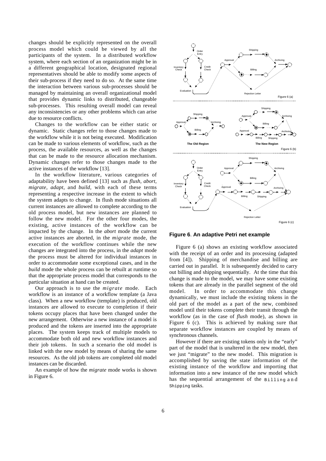changes should be explicitly represented on the overall process model which could be viewed by all the participants of the system. In a distributed workflow system, where each section of an organization might be in a different geographical location, designated regional representatives should be able to modify some aspects of their sub-process if they need to do so. At the same time the interaction between various sub-processes should be managed by maintaining an overall organizational model that provides dynamic links to distributed, changeable sub-processes. This resulting overall model can reveal any inconsistencies or any other problems which can arise due to resource conflicts.

Changes to the workflow can be either static or dynamic. Static changes refer to those changes made to the workflow while it is not being executed. Modification can be made to various elements of workflow, such as the process, the available resources, as well as the changes that can be made to the resource allocation mechanism. Dynamic changes refer to those changes made to the active instances of the workflow [13].

In the workflow literature, various categories of adaptability have been defined [13] such as *flush, abort, migrate, adapt,* and *build,* with each of these terms representing a respective increase in the extent to which the system adapts to change. In flush mode situations all current instances are allowed to complete according to the old process model, but new instances are planned to follow the new model. For the other four modes, the existing, active instances of the workflow can be impacted by the change. In the *abort* mode the current active instances are aborted, in the *migrate* mode, the execution of the workflow continues while the new changes are integrated into the process, in the *adapt* mode the process must be altered for individual instances in order to accommodate some exceptional cases, and in the *build* mode the whole process can be rebuilt at runtime so that the appropriate process model that corresponds to the particular situation at hand can be created.

Our approach is to use the *migrate* mode. Each workflow is an instance of a workflow template (a Java class). When a new workflow (template) is produced, old instances are allowed to execute to completion if their tokens occupy places that have been changed under the new arrangement. Otherwise a new instance of a model is produced and the tokens are inserted into the appropriate places. The system keeps track of multiple models to accommodate both old and new workflow instances and their job tokens. In such a scenario the old model is linked with the new model by means of sharing the same resources. As the old job tokens are completed old model instances can be discarded.

An example of how the *migrate* mode works is shown in Figure 6.



**Figure 6**. **An adaptive Petri net example**

Figure 6 (a) shows an existing workflow associated with the receipt of an order and its processing (adapted from [4]). Shipping of merchandise and billing are carried out in parallel. It is subsequently decided to carry out billing and shipping sequentially. At the time that this change is made to the model, we may have some existing tokens that are already in the parallel segment of the old model. In order to accommodate this change dynamically, we must include the existing tokens in the old part of the model as a part of the new, combined model until their tokens complete their transit through the workflow (as in the case of *flush* mode), as shown in Figure 6 (c). This is achieved by making sure that separate workflow instances are coupled by means of synchronous channels.

However if there are existing tokens only in the "early" part of the model that is unaltered in the new model, then we just "migrate" to the new model. This migration is accomplished by saving the state information of the existing instance of the workflow and importing that information into a new instance of the new model which has the sequential arrangement of the Billing and Shipping tasks.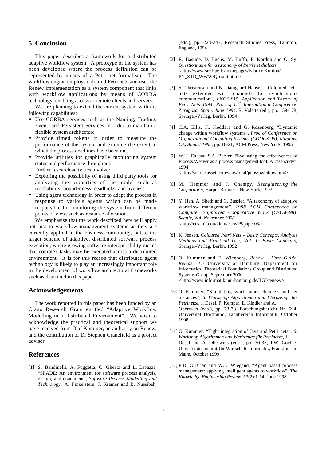## **5. Conclusion**

This paper describes a framework for a distributed adaptive workflow system. A prototype of the system has been developed where the process definition can be represented by means of a Petri net formalism. The workflow engine employs coloured Petri nets and uses the Renew implementation as a system component that links with workflow applications by means of CORBA technology, enabling access to remote clients and servers.

We are planning to extend the current system with the following capabilities:

- Use CORBA services such as the Naming, Trading, Event, and Persistent Services in order to maintain a flexible system architecture
- Provide timed tokens in order to measure the performance of the system and examine the extent to which the process deadlines have been met
- Provide utilities for graphically monitoring system status and performance throughput. Further research activities involve:
- Exploring the possibility of using third party tools for analyzing the properties of the model such as reachability, boundedness, deadlocks, and liveness
- Using agent technology in order to adapt the process in response to various agents which can be made responsible for monitoring the system from different points of view, such as resource allocation.

We emphasise that the work described here will apply not just to workflow management systems as they are currently applied in the business community, but to the larger scheme of adaptive, distributed software process execution, where growing software interoperability means that complex tasks may be executed across a distributed environment. It is for this reason that distributed agent technology is likely to play an increasingly important role in the development of workflow architectural frameworks such as described in this paper.

## **Acknowledgements**

The work reported in this paper has been funded by an Otago Research Grant entitled "Adaptive Workflow Modelling in a Distributed Environment". We wish to acknowledge the practical and theoretical support we have received from Olaf Kummer, an authority on Renew, and the contribution of Dr Stephen Cranefield as a project advisor.

### **References**

[1] S. Bandinelli, A. Fuggetta, C. Ghezzi and L. Lavazza, "SPADE: An environment for software process analysis, design, and enactment", *Software Process Modelling and Technology*, A. Finkelstein, J. Kramer and B. Nuseibeh, (eds.), pp. 223-247, Research Studies Press, Taunton, England, 1994

- [2] R. Bastide, D. Buchs, M. Buffo, F. Kordon and O. Sy, *Questionnaire for a taxonomy of Petri net dialects* <http://www-src.lip6.fr/homepages/Fabrice.Kordon/ PN\_STD\_WWW/Oresult.html>
- [3] S. Christensen and N. Damgaard Hansen, "Coloured Petri nets extended with channels for synchronous communication", *LNCS 815, Application and Theory of Petri Nets 1994, Proc of 15th International Conference, Zaragoza, Spain, June 1994*, R. Valette (ed.), pp. 159-178, Springer-Verlag, Berlin, 1994
- [4] C.A. Ellis, K. Keddara and G. Rozenberg, "Dynamic change within workflow systems", *Proc of Conference on Organizational Computing Systems (COOCS'95), Milpitas, CA, August 1995*, pp. 10-21, ACM Press, New York, 1995
- [5] W.H. Ett and S.A. Becker, "Evaluating the effectiveness of Process Weaver as a process management tool: A case study". 19 94 <http://source.asset.com/stars/loral/pubs/pw94/pw.htm>
- [6] M. Hammer and J. Champy, *Reengineering the Corporation*, Harper Business, New York, 1993
- [7] Y. Han, A. Sheth and C. Bussler, "A taxonomy of adaptive workflow management", *1998 ACM Conference on Computer Supported Cooperative Work (CSCW-98), Seattle, WA, November 1998* <http://ccs.mit.edu/klein/cscw98/paper03>
- [8] K. Jensen, *Coloured Petri Nets Basic Concepts, Analysis Methods and Practical Use, Vol. 1: Basic Concepts*, Springer-Verlag, Berlin, 1992
- [9] O. Kummer and F. Wienberg, *Renew User Guide, Release 1.*3 University of Hamburg, Department for Informatics, Theoretical Foundations Group and Distributed Systems Group, September 2000 <http://www.informatik.uni-hamburg.de/TGI/renew/>
- [10] O. Kummer, "Simulating synchronous channels and net instances", *5. Workshop Algorithmen und Werkzeuge für Petrinetze*, J. Desel, P. Kemper, E. Kindler and A. Oberweis (eds.), pp. 73-78, Forschungsbericht Nr. 694, Universität Dortmund, Fachbereich Informatik, October 1998
- [11] O. Kummer. "Tight integration of Java and Petri nets", *6. Workshop Algorithmen und Werkzeuge für Petrinetze*, J. Desel and A. Oberweis (eds.), pp. 30-35, J.W. Goethe-Universität, Institut für Wirtschaft-informatik, Frankfurt am Maim, October 1999
- [12] P.D. O'Brien and W.E. Wiegand, "Agent based process management: applying intelligent agents to workflow", *The Knowledge Engineering Review*, 13(2):1-14, June 1998